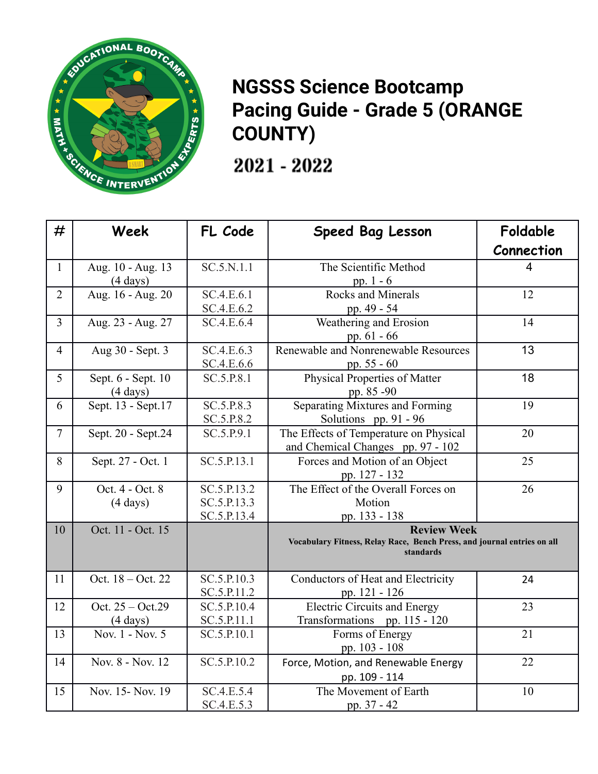

## **NGSSS Science Bootcamp Pacing Guide - Grade 5 (ORANGE COUNTY)**

2021 - 2022

| #              | Week                                     | FL Code                                   | Speed Bag Lesson                                                                                           | Foldable   |
|----------------|------------------------------------------|-------------------------------------------|------------------------------------------------------------------------------------------------------------|------------|
|                |                                          |                                           |                                                                                                            | Connection |
| $\mathbf{1}$   | Aug. 10 - Aug. 13<br>$(4 \text{ days})$  | SC.5.N.1.1                                | The Scientific Method<br>pp. $1 - 6$                                                                       | 4          |
| $\overline{2}$ | Aug. 16 - Aug. 20                        | SC.4.E.6.1<br>SC.4.E.6.2                  | <b>Rocks and Minerals</b><br>pp. 49 - 54                                                                   | 12         |
| $\overline{3}$ | Aug. 23 - Aug. 27                        | SC.4.E.6.4                                | Weathering and Erosion<br>pp. 61 - 66                                                                      | 14         |
| $\overline{4}$ | Aug 30 - Sept. 3                         | SC.4.E.6.3<br>SC.4.E.6.6                  | Renewable and Nonrenewable Resources<br>pp. 55 - 60                                                        | 13         |
| 5              | Sept. 6 - Sept. 10<br>$(4 \text{ days})$ | SC.5.P.8.1                                | Physical Properties of Matter<br>pp. 85 -90                                                                | 18         |
| 6              | Sept. 13 - Sept. 17                      | SC.5.P.8.3<br>SC.5.P.8.2                  | Separating Mixtures and Forming<br>Solutions pp. 91 - 96                                                   | 19         |
| $\overline{7}$ | Sept. 20 - Sept. 24                      | SC.5.P.9.1                                | The Effects of Temperature on Physical<br>and Chemical Changes pp. 97 - 102                                | 20         |
| 8              | Sept. 27 - Oct. 1                        | SC.5.P.13.1                               | Forces and Motion of an Object<br>pp. 127 - 132                                                            | 25         |
| 9              | Oct. 4 - Oct. 8<br>$(4 \text{ days})$    | SC.5.P.13.2<br>SC.5.P.13.3<br>SC.5.P.13.4 | The Effect of the Overall Forces on<br>Motion<br>pp. 133 - 138                                             | 26         |
| 10             | Oct. 11 - Oct. 15                        |                                           | <b>Review Week</b><br>Vocabulary Fitness, Relay Race, Bench Press, and journal entries on all<br>standards |            |
| 11             | Oct. 18 – Oct. 22                        | SC.5.P.10.3<br>SC.5.P.11.2                | Conductors of Heat and Electricity<br>pp. 121 - 126                                                        | 24         |
| 12             | Oct. $25 - Oct.29$<br>$(4 \text{ days})$ | SC.5.P.10.4<br>SC.5.P.11.1                | <b>Electric Circuits and Energy</b><br>Transformations pp. 115 - 120                                       | 23         |
| 13             | $\overline{Nov. 1}$ - Nov. 5             | SC.5.P.10.1                               | Forms of Energy<br>pp. 103 - 108                                                                           | 21         |
| 14             | Nov. 8 - Nov. 12                         | SC.5.P.10.2                               | Force, Motion, and Renewable Energy<br>pp. 109 - 114                                                       | 22         |
| 15             | Nov. 15- Nov. 19                         | SC.4.E.5.4<br>SC.4.E.5.3                  | The Movement of Earth<br>pp. 37 - 42                                                                       | 10         |